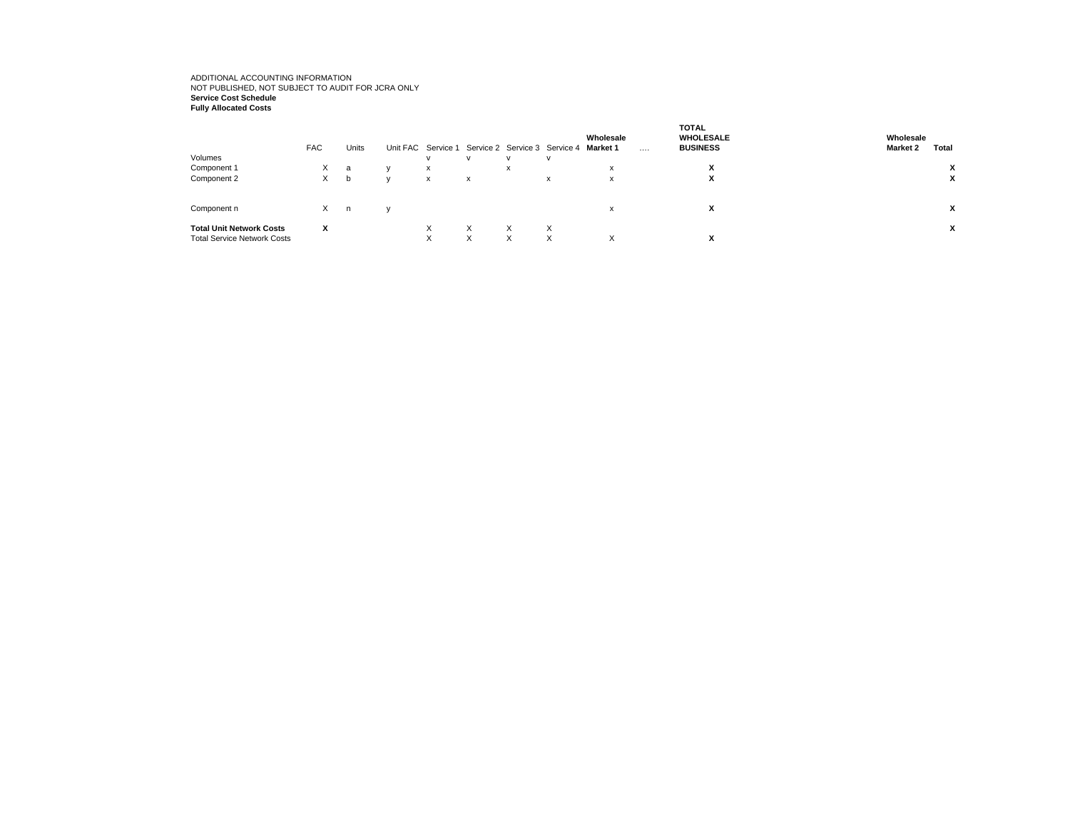## ADDITIONAL ACCOUNTING INFORMATION NOT PUBLISHED, NOT SUBJECT TO AUDIT FOR JCRA ONLY **Service Cost Schedule Fully Allocated Costs**

| Volumes                                                               | <b>FAC</b> | Units |              |              | $\mathbf{v}$              | Unit FAC Service 1 Service 2 Service 3 Service 4 Market 1 | v            | Wholesale         | $\cdots$ | <b>TOTAL</b><br><b>WHOLESALE</b><br><b>BUSINESS</b> | Wholesale<br><b>Market 2</b> | Total |
|-----------------------------------------------------------------------|------------|-------|--------------|--------------|---------------------------|-----------------------------------------------------------|--------------|-------------------|----------|-----------------------------------------------------|------------------------------|-------|
| Component 1                                                           | X          | a     |              | $\mathsf{x}$ |                           | $\lambda$                                                 |              | $\lambda$         |          | x                                                   |                              |       |
| Component 2                                                           | X          | b     | $\mathbf{v}$ | $\mathsf{x}$ | $\boldsymbol{\mathsf{x}}$ |                                                           | $\mathsf{x}$ | x                 |          | $\check{}$<br>л.                                    |                              | x     |
| Component n                                                           | X          | n     |              |              |                           |                                                           |              | x                 |          | x                                                   |                              | x     |
| <b>Total Unit Network Costs</b><br><b>Total Service Network Costs</b> | x          |       |              | X<br>X       | X<br>$\checkmark$<br>v    | X<br>X                                                    | X<br>X       | $\checkmark$<br>⌒ |          | X                                                   |                              | x     |